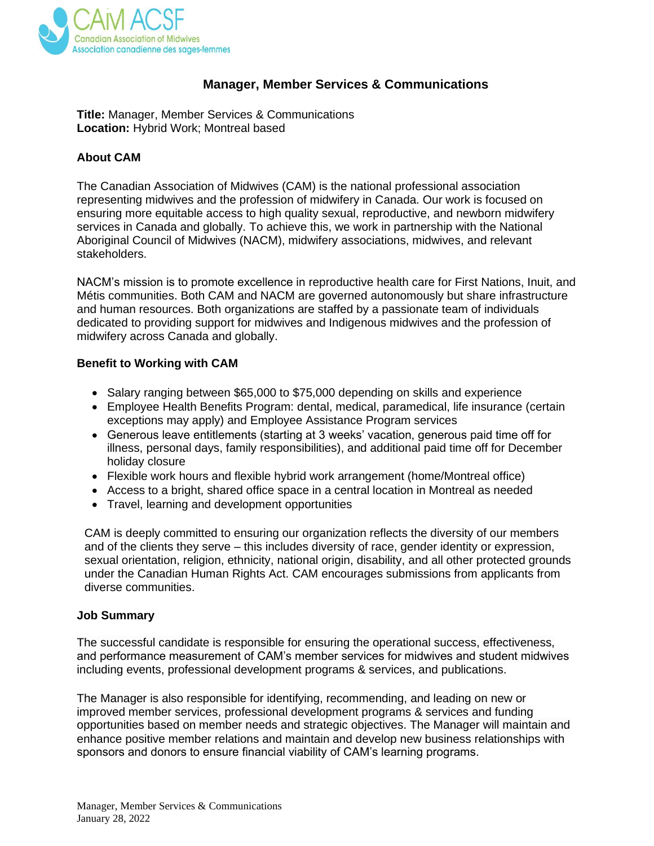

# **Manager, Member Services & Communications**

**Title:** Manager, Member Services & Communications **Location:** Hybrid Work; Montreal based

## **About CAM**

The Canadian Association of Midwives (CAM) is the national professional association representing midwives and the profession of midwifery in Canada. Our work is focused on ensuring more equitable access to high quality sexual, reproductive, and newborn midwifery services in Canada and globally. To achieve this, we work in partnership with the National Aboriginal Council of Midwives (NACM), midwifery associations, midwives, and relevant stakeholders.

NACM's mission is to promote excellence in reproductive health care for First Nations, Inuit, and Métis communities. Both CAM and NACM are governed autonomously but share infrastructure and human resources. Both organizations are staffed by a passionate team of individuals dedicated to providing support for midwives and Indigenous midwives and the profession of midwifery across Canada and globally.

### **Benefit to Working with CAM**

- Salary ranging between \$65,000 to \$75,000 depending on skills and experience
- Employee Health Benefits Program: dental, medical, paramedical, life insurance (certain exceptions may apply) and Employee Assistance Program services
- Generous leave entitlements (starting at 3 weeks' vacation, generous paid time off for illness, personal days, family responsibilities), and additional paid time off for December holiday closure
- Flexible work hours and flexible hybrid work arrangement (home/Montreal office)
- Access to a bright, shared office space in a central location in Montreal as needed
- Travel, learning and development opportunities

CAM is deeply committed to ensuring our organization reflects the diversity of our members and of the clients they serve – this includes diversity of race, gender identity or expression, sexual orientation, religion, ethnicity, national origin, disability, and all other protected grounds under the Canadian Human Rights Act. CAM encourages submissions from applicants from diverse communities.

### **Job Summary**

The successful candidate is responsible for ensuring the operational success, effectiveness, and performance measurement of CAM's member services for midwives and student midwives including events, professional development programs & services, and publications.

The Manager is also responsible for identifying, recommending, and leading on new or improved member services, professional development programs & services and funding opportunities based on member needs and strategic objectives. The Manager will maintain and enhance positive member relations and maintain and develop new business relationships with sponsors and donors to ensure financial viability of CAM's learning programs.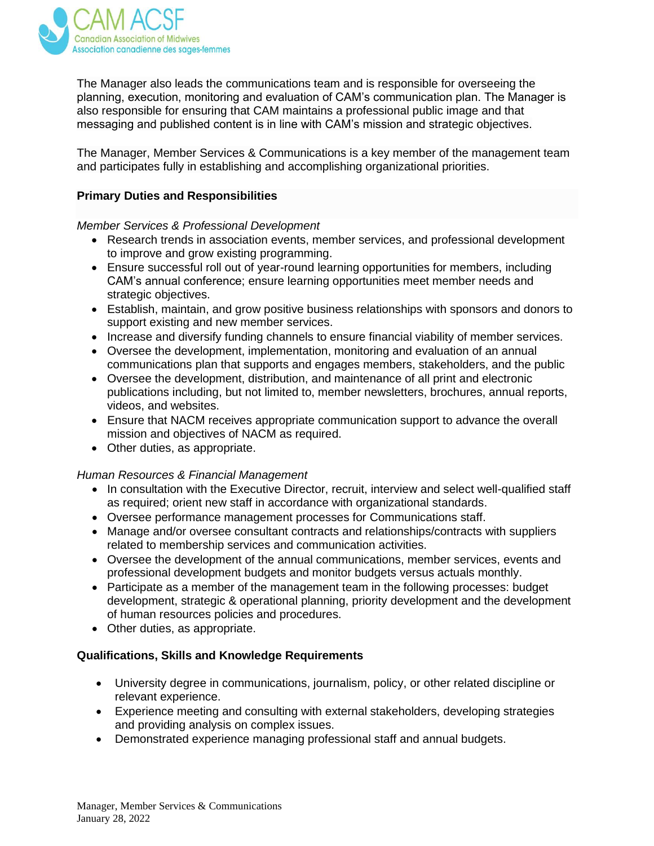

The Manager also leads the communications team and is responsible for overseeing the planning, execution, monitoring and evaluation of CAM's communication plan. The Manager is also responsible for ensuring that CAM maintains a professional public image and that messaging and published content is in line with CAM's mission and strategic objectives.

The Manager, Member Services & Communications is a key member of the management team and participates fully in establishing and accomplishing organizational priorities.

### **Primary Duties and Responsibilities**

### *Member Services & Professional Development*

- Research trends in association events, member services, and professional development to improve and grow existing programming.
- Ensure successful roll out of year-round learning opportunities for members, including CAM's annual conference; ensure learning opportunities meet member needs and strategic objectives.
- Establish, maintain, and grow positive business relationships with sponsors and donors to support existing and new member services.
- Increase and diversify funding channels to ensure financial viability of member services.
- Oversee the development, implementation, monitoring and evaluation of an annual communications plan that supports and engages members, stakeholders, and the public
- Oversee the development, distribution, and maintenance of all print and electronic publications including, but not limited to, member newsletters, brochures, annual reports, videos, and websites.
- Ensure that NACM receives appropriate communication support to advance the overall mission and objectives of NACM as required.
- Other duties, as appropriate.

### *Human Resources & Financial Management*

- In consultation with the Executive Director, recruit, interview and select well-qualified staff as required; orient new staff in accordance with organizational standards.
- Oversee performance management processes for Communications staff.
- Manage and/or oversee consultant contracts and relationships/contracts with suppliers related to membership services and communication activities.
- Oversee the development of the annual communications, member services, events and professional development budgets and monitor budgets versus actuals monthly.
- Participate as a member of the management team in the following processes: budget development, strategic & operational planning, priority development and the development of human resources policies and procedures.
- Other duties, as appropriate.

## **Qualifications, Skills and Knowledge Requirements**

- University degree in communications, journalism, policy, or other related discipline or relevant experience.
- Experience meeting and consulting with external stakeholders, developing strategies and providing analysis on complex issues.
- Demonstrated experience managing professional staff and annual budgets.